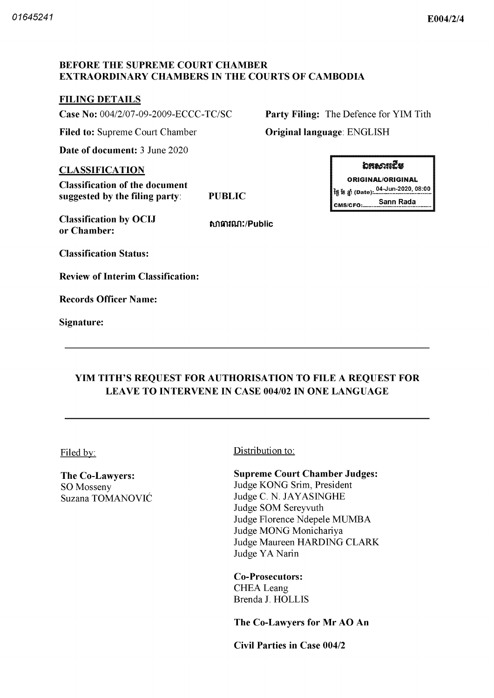### BEFORE THE SUPREME COURT CHAMBER EXTRAORDINARY CHAMBERS IN THE COURTS OF CAMBODIA

## **FILING DETAILS**

**Case No:**  $004/2/07-09-2009-ECCC-TC/SC$  Party Filing: The Defence for YIM Tith

Filed to: Supreme Court Chamber **Original language: ENGLISH** 

Date of document: 3 June 2020

#### CLASSIFICATION

Classification of the document suggested by the filing party

PUBLIC

Classification by OCIJ or Chamber

hntntfin Public

Classification Status

Review of Interim Classification

Records Officer Name

Signature



ORIGINAL ORIGINAL 04 Jun 2020 08 00 tfl fl Date CMS/CFO: Sann Rada

# YIM TITH'S REQUEST FOR AUTHORISATION TO FILE A REQUEST FOR LEAVE TO INTERVENE IN CASE 004/02 IN ONE LANGUAGE

The Co-Lawyers: SO Mosseny Suzana TOMANOVIC

## Filed by: Distribution to:

#### Supreme Court Chamber Judges

Judge KONG Srim, President Judge C. N. JAYASINGHE Judge SOM Sereyvuth Judge Florence Ndepele MUMBA Judge MONG Monichariya Judge Maureen HARDING CLARK Judge YA Narin

Co-Prosecutors: CHEA Leang Brenda J. HOLLIS

The Co-Lawyers for Mr AO An

Civil Parties in Case 004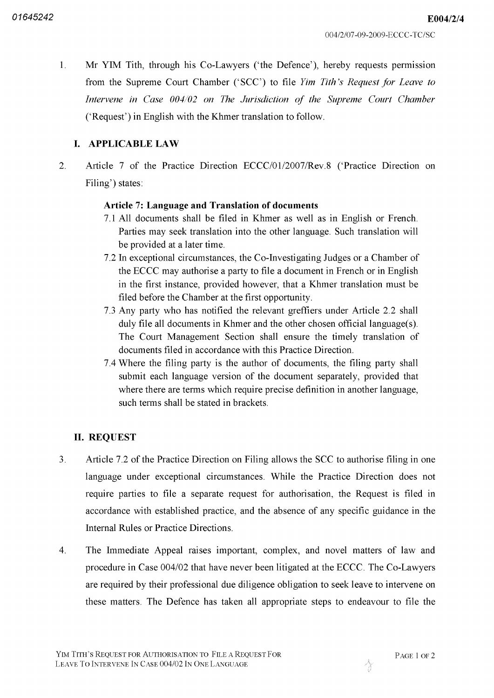E004/2/4

1. Mr YIM Tith, through his Co-Lawyers ('the Defence'), hereby requests permission from the Supreme Court Chamber ('SCC') to file *Yim Tith's Request for Leave to* Intervene in Case 004/02 on The Jurisdiction of the Supreme Court Chamber ('Request') in English with the Khmer translation to follow.

# **I. APPLICABLE LAW**

 $\overline{2}$ . Article 7 of the Practice Direction ECCC/01/2007/Rev.8 ('Practice Direction on Filing') states:

## Article 7: Language and Translation of documents

- All documents shall be filed in Khmer as well as in English or French Parties may seek translation into the other language. Such translation will be provided at a later time.
- 7.2 In exceptional circumstances, the Co-Investigating Judges or a Chamber of the ECCC may authorise a party to file a document in French or in English in the first instance, provided however, that a Khmer translation must be filed before the Chamber at the first opportunity
- 7.3 Any party who has notified the relevant greffiers under Article 2.2 shall duly file all documents in Khmer and the other chosen official language(s). The Court Management Section shall ensure the timely translation of documents filed in accordance with this Practice Direction
- Where the filing party is the author of documents the filing party shall submit each language version of the document separately, provided that where there are terms which require precise definition in another language. such terms shall be stated in brackets

## **II. REQUEST**

- $3<sub>1</sub>$ Article 7.2 of the Practice Direction on Filing allows the SCC to authorise filing in one language under exceptional circumstances While the Practice Direction does not require parties to file a separate request for authorisation, the Request is filed in accordance with established practice, and the absence of any specific guidance in the Internal Rules or Practice Directions
- $\overline{4}$ The Immediate Appeal raises important, complex, and novel matters of law and procedure in Case 004/02 that have never been litigated at the ECCC. The Co-Lawyers are required by their professional due diligence obligation to seek leave to intervene on these matters. The Defence has taken all appropriate steps to endeavour to file the